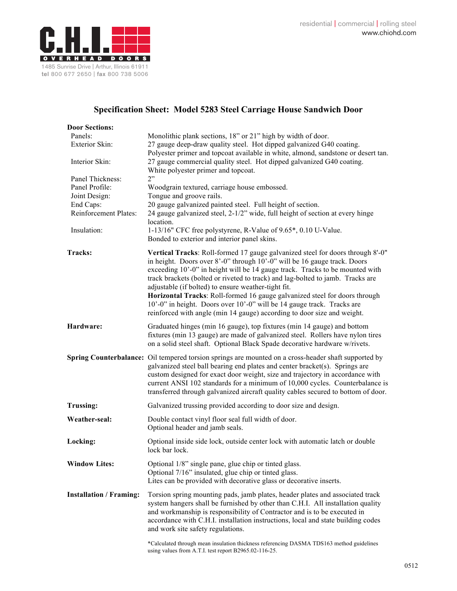

## **Specification Sheet: Model 5283 Steel Carriage House Sandwich Door**

| <b>Door Sections:</b>              |                                                                                                                                                                                                                                                                                                                                                                                                                                                                                                                                                                                                                        |
|------------------------------------|------------------------------------------------------------------------------------------------------------------------------------------------------------------------------------------------------------------------------------------------------------------------------------------------------------------------------------------------------------------------------------------------------------------------------------------------------------------------------------------------------------------------------------------------------------------------------------------------------------------------|
| Panels:                            | Monolithic plank sections, 18" or 21" high by width of door.                                                                                                                                                                                                                                                                                                                                                                                                                                                                                                                                                           |
| Exterior Skin:                     | 27 gauge deep-draw quality steel. Hot dipped galvanized G40 coating.                                                                                                                                                                                                                                                                                                                                                                                                                                                                                                                                                   |
|                                    | Polyester primer and topcoat available in white, almond, sandstone or desert tan.                                                                                                                                                                                                                                                                                                                                                                                                                                                                                                                                      |
| Interior Skin:                     | 27 gauge commercial quality steel. Hot dipped galvanized G40 coating.                                                                                                                                                                                                                                                                                                                                                                                                                                                                                                                                                  |
|                                    | White polyester primer and topcoat.<br>2"                                                                                                                                                                                                                                                                                                                                                                                                                                                                                                                                                                              |
| Panel Thickness:<br>Panel Profile: | Woodgrain textured, carriage house embossed.                                                                                                                                                                                                                                                                                                                                                                                                                                                                                                                                                                           |
| Joint Design:                      | Tongue and groove rails.                                                                                                                                                                                                                                                                                                                                                                                                                                                                                                                                                                                               |
| End Caps:                          | 20 gauge galvanized painted steel. Full height of section.                                                                                                                                                                                                                                                                                                                                                                                                                                                                                                                                                             |
| Reinforcement Plates:              | 24 gauge galvanized steel, 2-1/2" wide, full height of section at every hinge                                                                                                                                                                                                                                                                                                                                                                                                                                                                                                                                          |
|                                    | location.                                                                                                                                                                                                                                                                                                                                                                                                                                                                                                                                                                                                              |
| Insulation:                        | 1-13/16" CFC free polystyrene, R-Value of 9.65*, 0.10 U-Value.                                                                                                                                                                                                                                                                                                                                                                                                                                                                                                                                                         |
|                                    | Bonded to exterior and interior panel skins.                                                                                                                                                                                                                                                                                                                                                                                                                                                                                                                                                                           |
| <b>Tracks:</b>                     | Vertical Tracks: Roll-formed 17 gauge galvanized steel for doors through 8'-0"<br>in height. Doors over 8'-0" through 10'-0" will be 16 gauge track. Doors<br>exceeding 10'-0" in height will be 14 gauge track. Tracks to be mounted with<br>track brackets (bolted or riveted to track) and lag-bolted to jamb. Tracks are<br>adjustable (if bolted) to ensure weather-tight fit.<br>Horizontal Tracks: Roll-formed 16 gauge galvanized steel for doors through<br>10'-0" in height. Doors over 10'-0" will be 14 gauge track. Tracks are<br>reinforced with angle (min 14 gauge) according to door size and weight. |
| Hardware:                          | Graduated hinges (min 16 gauge), top fixtures (min 14 gauge) and bottom<br>fixtures (min 13 gauge) are made of galvanized steel. Rollers have nylon tires<br>on a solid steel shaft. Optional Black Spade decorative hardware w/rivets.                                                                                                                                                                                                                                                                                                                                                                                |
|                                    | Spring Counterbalance: Oil tempered torsion springs are mounted on a cross-header shaft supported by<br>galvanized steel ball bearing end plates and center bracket(s). Springs are<br>custom designed for exact door weight, size and trajectory in accordance with<br>current ANSI 102 standards for a minimum of 10,000 cycles. Counterbalance is<br>transferred through galvanized aircraft quality cables secured to bottom of door.                                                                                                                                                                              |
| <b>Trussing:</b>                   | Galvanized trussing provided according to door size and design.                                                                                                                                                                                                                                                                                                                                                                                                                                                                                                                                                        |
| Weather-seal:                      | Double contact vinyl floor seal full width of door.<br>Optional header and jamb seals.                                                                                                                                                                                                                                                                                                                                                                                                                                                                                                                                 |
| Locking:                           | Optional inside side lock, outside center lock with automatic latch or double<br>lock bar lock.                                                                                                                                                                                                                                                                                                                                                                                                                                                                                                                        |
| <b>Window Lites:</b>               | Optional 1/8" single pane, glue chip or tinted glass.<br>Optional 7/16" insulated, glue chip or tinted glass.<br>Lites can be provided with decorative glass or decorative inserts.                                                                                                                                                                                                                                                                                                                                                                                                                                    |
| <b>Installation / Framing:</b>     | Torsion spring mounting pads, jamb plates, header plates and associated track<br>system hangers shall be furnished by other than C.H.I. All installation quality<br>and workmanship is responsibility of Contractor and is to be executed in<br>accordance with C.H.I. installation instructions, local and state building codes<br>and work site safety regulations.                                                                                                                                                                                                                                                  |
|                                    | *Calculated through mean insulation thickness referencing DASMA TDS163 method guidelines                                                                                                                                                                                                                                                                                                                                                                                                                                                                                                                               |

using values from A.T.I. test report B2965.02-116-25.